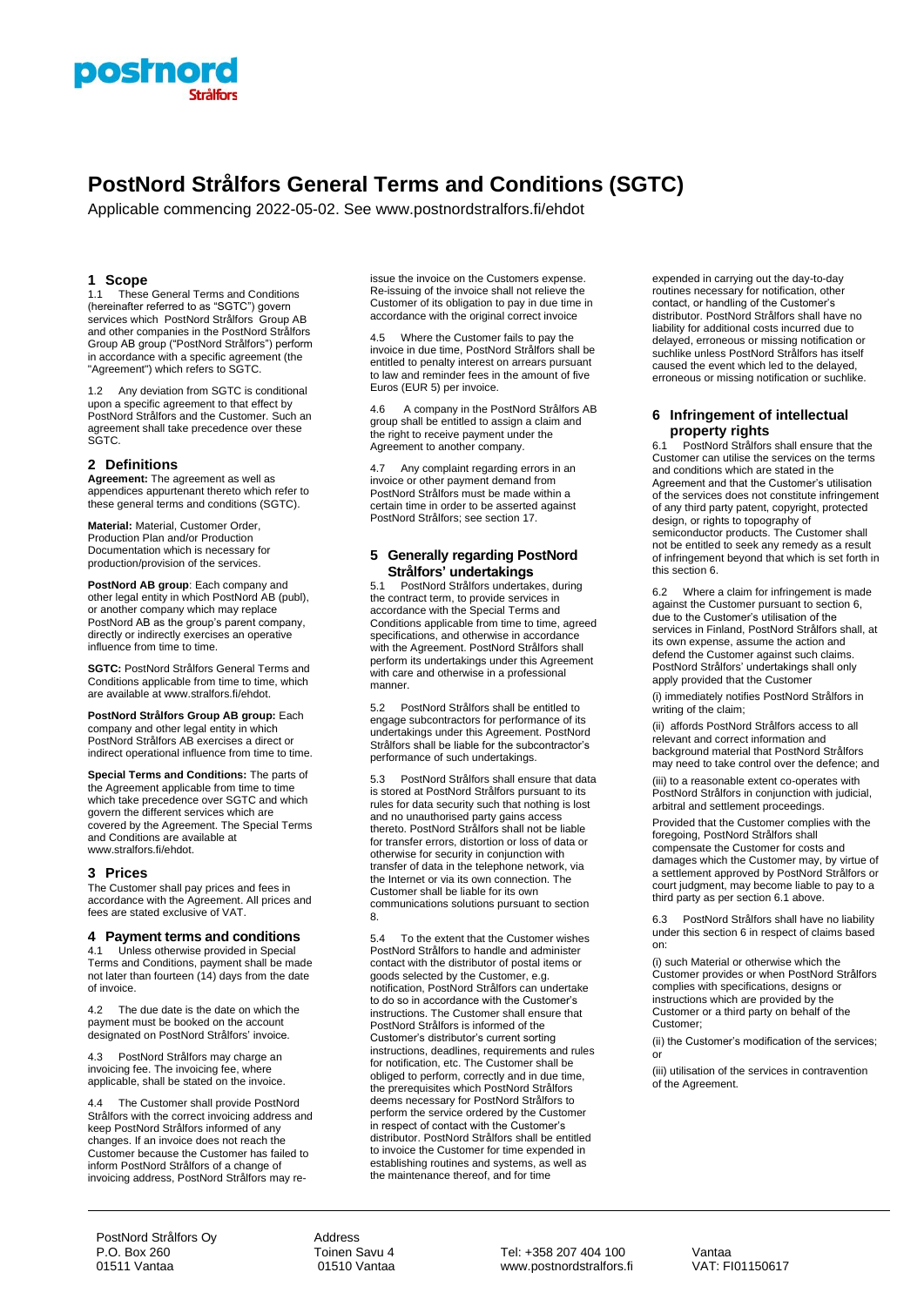

# **PostNord Strålfors General Terms and Conditions (SGTC)**

Applicable commencing 2022-05-02. See www.postnordstralfors.fi/ehdot

# **1 Scope**

1.1 These General Terms and Conditions (hereinafter referred to as "SGTC") govern services which PostNord Strålfors Group AB and other companies in the PostNord Strålfors Group AB group ("PostNord Strålfors") perform in accordance with a specific agreement (the "Agreement") which refers to SGTC.

Any deviation from SGTC is conditional upon a specific agreement to that effect by PostNord Strålfors and the Customer. Such an agreement shall take precedence over these SGTC.

# **2 Definitions**

**Agreement:** The agreement as well as appendices appurtenant thereto which refer to these general terms and conditions (SGTC).

**Material:** Material, Customer Order, Production Plan and/or Production Documentation which is necessary for production/provision of the services.

**PostNord AB group**: Each company and other legal entity in which PostNord AB (publ), or another company which may replace PostNord AB as the group's parent company, directly or indirectly exercises an operative influence from time to time.

**SGTC:** PostNord Strålfors General Terms and Conditions applicable from time to time, which are available at www.stralfors.fi/ehdot.

**PostNord Strålfors Group AB group:** Each company and other legal entity in which PostNord Strålfors AB exercises a direct or indirect operational influence from time to time.

**Special Terms and Conditions:** The parts of the Agreement applicable from time to time which take precedence over SGTC and which govern the different services which are covered by the Agreement. The Special Terms and Conditions are available at www.stralfors.fi/ehdot.

# **3 Prices**

The Customer shall pay prices and fees in accordance with the Agreement. All prices and fees are stated exclusive of VAT.

# **4 Payment terms and conditions**

4.1 Unless otherwise provided in Special Terms and Conditions, payment shall be made not later than fourteen (14) days from the date of invoice.

4.2 The due date is the date on which the payment must be booked on the account designated on PostNord Strålfors' invoice.

4.3 PostNord Strålfors may charge an invoicing fee. The invoicing fee, where applicable, shall be stated on the invoice.

4.4 The Customer shall provide PostNord Strålfors with the correct invoicing address and keep PostNord Strålfors informed of any changes. If an invoice does not reach the Customer because the Customer has failed to inform PostNord Strålfors of a change of invoicing address, PostNord Strålfors may reissue the invoice on the Customers expense. Re-issuing of the invoice shall not relieve the Customer of its obligation to pay in due time in accordance with the original correct invoice

4.5 Where the Customer fails to pay the invoice in due time, PostNord Strålfors shall be entitled to penalty interest on arrears pursuant to law and reminder fees in the amount of five Euros (EUR 5) per invoice.

4.6 A company in the PostNord Strålfors AB group shall be entitled to assign a claim and the right to receive payment under the Agreement to another company.

4.7 Any complaint regarding errors in an invoice or other payment demand from PostNord Strålfors must be made within a certain time in order to be asserted against PostNord Strålfors; see section 17.

# **5 Generally regarding PostNord Strålfors' undertakings**

5.1 PostNord Strålfors undertakes, during the contract term, to provide services in accordance with the Special Terms and Conditions applicable from time to time, agreed specifications, and otherwise in accordance with the Agreement. PostNord Strålfors shall perform its undertakings under this Agreement with care and otherwise in a professional manner.

5.2 PostNord Strålfors shall be entitled to engage subcontractors for performance of its undertakings under this Agreement. PostNord Strålfors shall be liable for the subcontractor's performance of such undertakings.

5.3 PostNord Strålfors shall ensure that data is stored at PostNord Strålfors pursuant to its rules for data security such that nothing is lost and no unauthorised party gains access thereto. PostNord Strålfors shall not be liable for transfer errors, distortion or loss of data or otherwise for security in conjunction with transfer of data in the telephone network, via the Internet or via its own connection. The Customer shall be liable for its own communications solutions pursuant to section 8.

5.4 To the extent that the Customer wishes PostNord Strålfors to handle and administer contact with the distributor of postal items or goods selected by the Customer, e.g. notification, PostNord Strålfors can undertake to do so in accordance with the Customer's instructions. The Customer shall ensure that PostNord Strålfors is informed of the Customer's distributor's current sorting instructions, deadlines, requirements and rules for notification, etc. The Customer shall be obliged to perform, correctly and in due time, the prerequisites which PostNord Strålfors deems necessary for PostNord Strålfors to perform the service ordered by the Customer in respect of contact with the Customer's distributor. PostNord Strålfors shall be entitled to invoice the Customer for time expended in establishing routines and systems, as well as the maintenance thereof, and for time

expended in carrying out the day-to-day routines necessary for notification, other contact, or handling of the Customer's distributor. PostNord Strålfors shall have no liability for additional costs incurred due to delayed, erroneous or missing notification or suchlike unless PostNord Strålfors has itself caused the event which led to the delayed, erroneous or missing notification or suchlike.

# **6 Infringement of intellectual property rights**

6.1 PostNord Strålfors shall ensure that the Customer can utilise the services on the terms and conditions which are stated in the Agreement and that the Customer's utilisation of the services does not constitute infringement of any third party patent, copyright, protected design, or rights to topography of semiconductor products. The Customer shall not be entitled to seek any remedy as a result of infringement beyond that which is set forth in this section 6.

6.2 Where a claim for infringement is made against the Customer pursuant to section 6, due to the Customer's utilisation of the services in Finland, PostNord Strålfors shall, at its own expense, assume the action and defend the Customer against such claims. PostNord Strålfors' undertakings shall only apply provided that the Customer

(i) immediately notifies PostNord Strålfors in writing of the claim;

(ii) affords PostNord Strålfors access to all relevant and correct information and background material that PostNord Strålfors may need to take control over the defence; and

(iii) to a reasonable extent co-operates with PostNord Strålfors in conjunction with judicial, arbitral and settlement proceedings.

Provided that the Customer complies with the foregoing, PostNord Strålfors shall compensate the Customer for costs and damages which the Customer may, by virtue of a settlement approved by PostNord Strålfors or court judgment, may become liable to pay to a third party as per section 6.1 above.

6.3 PostNord Strålfors shall have no liability under this section 6 in respect of claims based on:

(i) such Material or otherwise which the Customer provides or when PostNord Strålfors complies with specifications, designs or instructions which are provided by the Customer or a third party on behalf of the Customer;

(ii) the Customer's modification of the services; or

(iii) utilisation of the services in contravention of the Agreement.

PostNord Strålfors Oy<br>
P.O. Box 260<br>
P.O. Box 260 P.O. Box 260  $\sim$  Toinen Savu 4 Tel: +358 207 404 100 Vantaa Vantaa 301510 Vantaa 91510 Vantaa www.postnordstralfors.fi

www.postnordstralfors.fi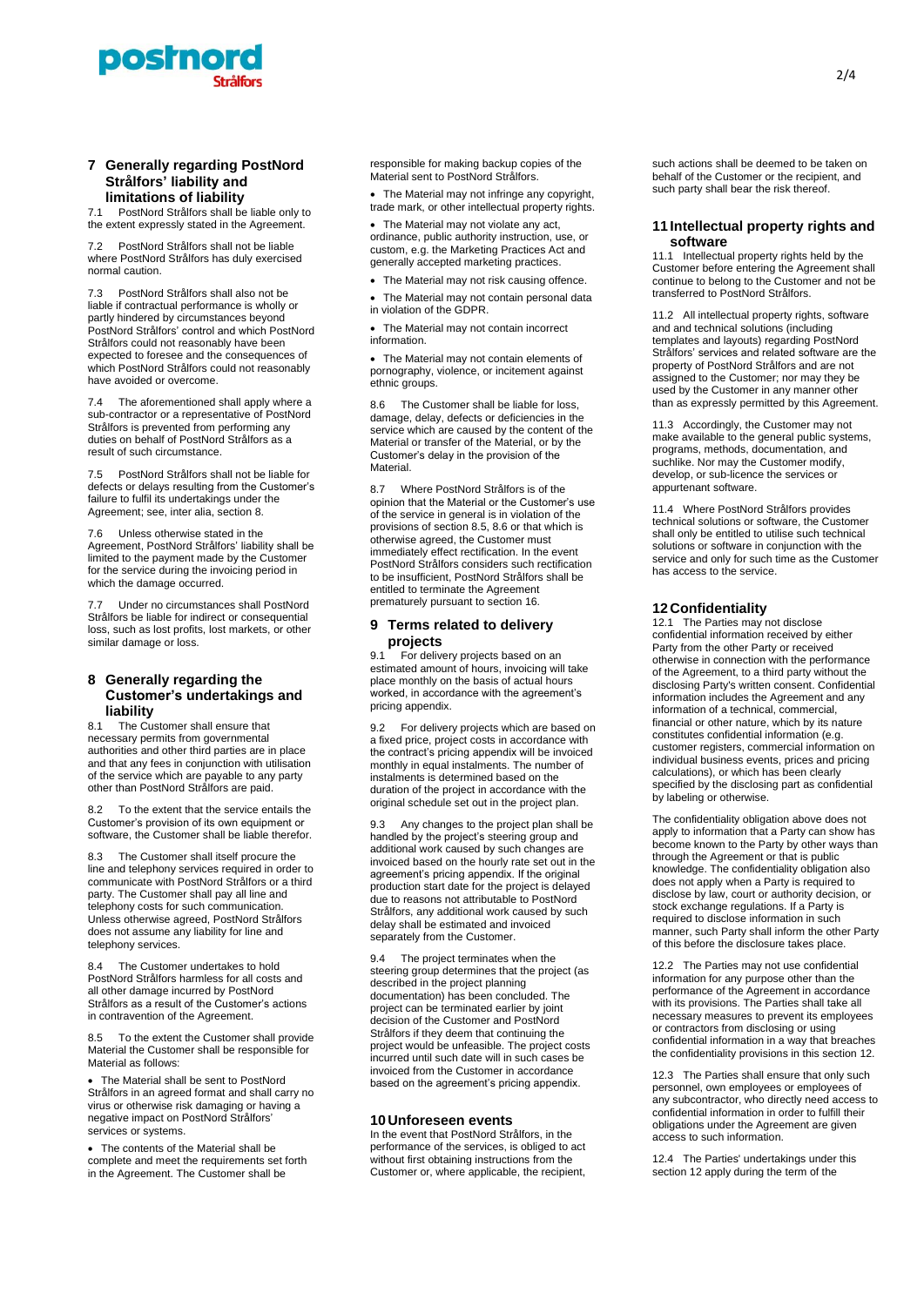

# **7 Generally regarding PostNord Strålfors' liability and**

**limitations of liability**<br>71 PostNord Strålfors shall be PostNord Strålfors shall be liable only to the extent expressly stated in the Agreement.

7.2 PostNord Strålfors shall not be liable where PostNord Strålfors has duly exercised normal caution.

7.3 PostNord Strålfors shall also not be liable if contractual performance is wholly or partly hindered by circumstances beyond PostNord Strålfors' control and which PostNord Strålfors could not reasonably have been expected to foresee and the consequences of which PostNord Strålfors could not reasonably have avoided or overcome.

7.4 The aforementioned shall apply where a sub-contractor or a representative of PostNord Strålfors is prevented from performing any duties on behalf of PostNord Strålfors as a result of such circumstance.

7.5 PostNord Strålfors shall not be liable for defects or delays resulting from the Customer's failure to fulfil its undertakings under the Agreement; see, inter alia, section 8.

7.6 Unless otherwise stated in the Agreement, PostNord Strålfors' liability shall be limited to the payment made by the Customer for the service during the invoicing period in which the damage occurred.

7.7 Under no circumstances shall PostNord Strålfors be liable for indirect or consequential loss, such as lost profits, lost markets, or other similar damage or loss.

# **8 Generally regarding the Customer's undertakings and liability**

8.1 The Customer shall ensure that necessary permits from governmental authorities and other third parties are in place and that any fees in conjunction with utilisation of the service which are payable to any party other than PostNord Strålfors are paid.

8.2 To the extent that the service entails the Customer's provision of its own equipment or software, the Customer shall be liable therefor.

8.3 The Customer shall itself procure the line and telephony services required in order to communicate with PostNord Strålfors or a third party. The Customer shall pay all line and telephony costs for such communication. Unless otherwise agreed, PostNord Strålfors does not assume any liability for line and telephony services.

The Customer undertakes to hold PostNord Strålfors harmless for all costs and all other damage incurred by PostNord Strålfors as a result of the Customer's actions in contravention of the Agreement.

8.5 To the extent the Customer shall provide Material the Customer shall be responsible for Material as follows:

• The Material shall be sent to PostNord Strålfors in an agreed format and shall carry no virus or otherwise risk damaging or having a negative impact on PostNord Strålfors' services or systems.

• The contents of the Material shall be complete and meet the requirements set forth in the Agreement. The Customer shall be

responsible for making backup copies of the Material sent to PostNord Strålfors.

• The Material may not infringe any copyright, trade mark, or other intellectual property rights.

• The Material may not violate any act, ordinance, public authority instruction, use, or custom, e.g. the Marketing Practices Act and generally accepted marketing practices.

- The Material may not risk causing offence.
- The Material may not contain personal data
- in violation of the GDPR.

The Material may not contain incorrect information.

• The Material may not contain elements of pornography, violence, or incitement against ethnic groups.

8.6 The Customer shall be liable for loss, damage, delay, defects or deficiencies in the service which are caused by the content of the Material or transfer of the Material, or by the Customer's delay in the provision of the Material.

8.7 Where PostNord Strålfors is of the opinion that the Material or the Customer's use of the service in general is in violation of the provisions of section 8.5, 8.6 or that which is otherwise agreed, the Customer must immediately effect rectification. In the event PostNord Strålfors considers such rectification to be insufficient, PostNord Strålfors shall be entitled to terminate the Agreement prematurely pursuant to section 16.

# **9 Terms related to delivery projects**

9.1 For delivery projects based on an estimated amount of hours, invoicing will take place monthly on the basis of actual hours worked, in accordance with the agreement's pricing appendix.

9.2 For delivery projects which are based on a fixed price, project costs in accordance with the contract's pricing appendix will be invoiced monthly in equal instalments. The number of instalments is determined based on the duration of the project in accordance with the original schedule set out in the project plan.

9.3 Any changes to the project plan shall be handled by the project's steering group and additional work caused by such changes are invoiced based on the hourly rate set out in the agreement's pricing appendix. If the original production start date for the project is delayed due to reasons not attributable to PostNord Strålfors, any additional work caused by such delay shall be estimated and invoiced separately from the Customer.

9.4 The project terminates when the steering group determines that the project (as described in the project planning documentation) has been concluded. The project can be terminated earlier by joint decision of the Customer and PostNord Strålfors if they deem that continuing the project would be unfeasible. The project costs incurred until such date will in such cases be invoiced from the Customer in accordance based on the agreement's pricing appendix.

# **10 Unforeseen events**

In the event that PostNord Strålfors, in the performance of the services, is obliged to act without first obtaining instructions from the Customer or, where applicable, the recipient,

such actions shall be deemed to be taken on behalf of the Customer or the recipient, and such party shall bear the risk thereof.

# **11 Intellectual property rights and software**

11.1 Intellectual property rights held by the Customer before entering the Agreement shall continue to belong to the Customer and not be transferred to PostNord Strålfors.

11.2 All intellectual property rights, software and and technical solutions (including templates and layouts) regarding PostNord Strålfors' services and related software are the property of PostNord Strålfors and are not assigned to the Customer; nor may they be used by the Customer in any manner other than as expressly permitted by this Agreement.

11.3 Accordingly, the Customer may not make available to the general public systems, programs, methods, documentation, and suchlike. Nor may the Customer modify, develop, or sub-licence the services or appurtenant software.

11.4 Where PostNord Strålfors provides technical solutions or software, the Customer shall only be entitled to utilise such technical solutions or software in conjunction with the service and only for such time as the Customer has access to the service.

# <span id="page-1-0"></span>**12 Confidentiality**

12.1 The Parties may not disclose confidential information received by either Party from the other Party or received otherwise in connection with the performance of the Agreement, to a third party without the disclosing Party's written consent. Confidential information includes the Agreement and any information of a technical, commercial, financial or other nature, which by its nature constitutes confidential information (e.g. customer registers, commercial information on individual business events, prices and pricing calculations), or which has been clearly specified by the disclosing part as confidential by labeling or otherwise.

The confidentiality obligation above does not apply to information that a Party can show has become known to the Party by other ways than through the Agreement or that is public knowledge. The confidentiality obligation also does not apply when a Party is required to disclose by law, court or authority decision, or stock exchange regulations. If a Party is required to disclose information in such manner, such Party shall inform the other Party of this before the disclosure takes place.

12.2 The Parties may not use confidential information for any purpose other than the performance of the Agreement in accordance with its provisions. The Parties shall take all necessary measures to prevent its employees or contractors from disclosing or using confidential information in a way that breaches the confidentiality provisions in this sectio[n 12.](#page-1-0)

12.3 The Parties shall ensure that only such personnel, own employees or employees of any subcontractor, who directly need access to confidential information in order to fulfill their obligations under the Agreement are given access to such information.

12.4 The Parties' undertakings under this sectio[n 12](#page-1-0) apply during the term of the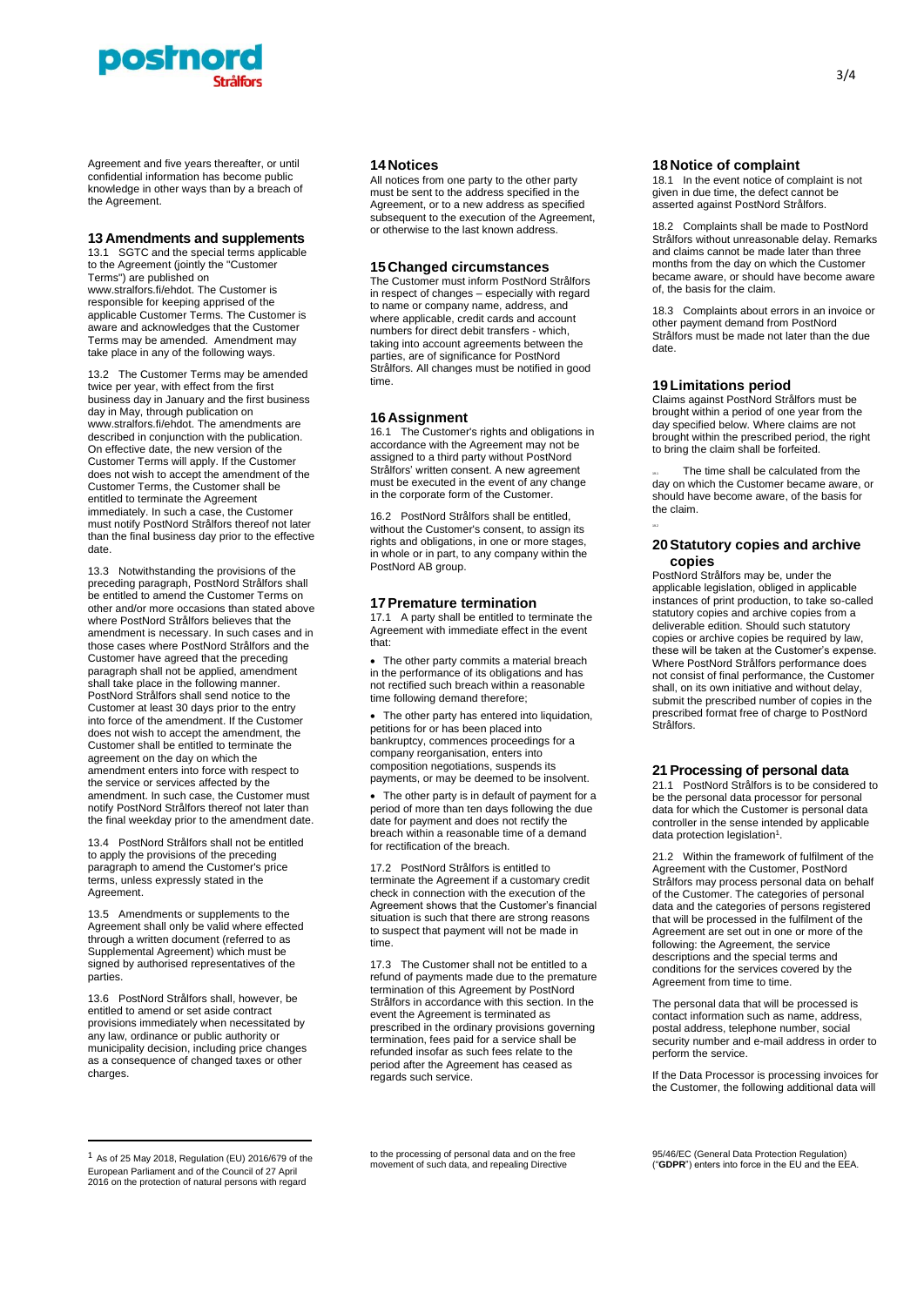

Agreement and five years thereafter, or until confidential information has become public knowledge in other ways than by a breach of the Agreement.

#### **13 Amendments and supplements**

13.1 SGTC and the special terms applicable to the Agreement (jointly the "Customer Terms") are published on www.stralfors.fi/ehdot. The Customer is responsible for keeping apprised of the applicable Customer Terms. The Customer is aware and acknowledges that the Customer Terms may be amended. Amendment may take place in any of the following ways.

13.2 The Customer Terms may be amended twice per year, with effect from the first business day in January and the first business day in May, through publication on www.stralfors.fi/ehdot. The amendments are described in conjunction with the publication. On effective date, the new version of the Customer Terms will apply. If the Customer does not wish to accept the amendment of the Customer Terms, the Customer shall be entitled to terminate the Agreement immediately. In such a case, the Customer must notify PostNord Strålfors thereof not later than the final business day prior to the effective date.

13.3 Notwithstanding the provisions of the preceding paragraph, PostNord Strålfors shall be entitled to amend the Customer Terms on other and/or more occasions than stated above where PostNord Strålfors believes that the amendment is necessary. In such cases and in those cases where PostNord Strålfors and the Customer have agreed that the preceding paragraph shall not be applied, amendment shall take place in the following manner. PostNord Strålfors shall send notice to the Customer at least 30 days prior to the entry into force of the amendment. If the Customer does not wish to accept the amendment, the Customer shall be entitled to terminate the agreement on the day on which the amendment enters into force with respect to the service or services affected by the amendment. In such case, the Customer must notify PostNord Strålfors thereof not later than the final weekday prior to the amendment date.

13.4 PostNord Strålfors shall not be entitled to apply the provisions of the preceding paragraph to amend the Customer's price terms, unless expressly stated in the Agreement.

13.5 Amendments or supplements to the Agreement shall only be valid where effected through a written document (referred to as Supplemental Agreement) which must be signed by authorised representatives of the parties.

13.6 PostNord Strålfors shall, however, be entitled to amend or set aside contract provisions immediately when necessitated by any law, ordinance or public authority or municipality decision, including price changes as a consequence of changed taxes or other charges

#### **14 Notices**

All notices from one party to the other party must be sent to the address specified in the Agreement, or to a new address as specified subsequent to the execution of the Agreement, or otherwise to the last known address.

# **15 Changed circumstances**

The Customer must inform PostNord Strålfors in respect of changes – especially with regard to name or company name, address, and where applicable, credit cards and account numbers for direct debit transfers - which, taking into account agreements between the parties, are of significance for PostNord Strålfors. All changes must be notified in good time.

#### **16 Assignment**

16.1 The Customer's rights and obligations in accordance with the Agreement may not be assigned to a third party without PostNord Strålfors' written consent. A new agreement must be executed in the event of any change in the corporate form of the Customer.

16.2 PostNord Strålfors shall be entitled, without the Customer's consent, to assign its rights and obligations, in one or more stages, in whole or in part, to any company within the PostNord AB group.

#### **17Premature termination**

17.1 A party shall be entitled to terminate the Agreement with immediate effect in the event that:

• The other party commits a material breach in the performance of its obligations and has not rectified such breach within a reasonable time following demand therefore;

• The other party has entered into liquidation, petitions for or has been placed into bankruptcy, commences proceedings for a company reorganisation, enters into composition negotiations, suspends its payments, or may be deemed to be insolvent.

The other party is in default of payment for a period of more than ten days following the due date for payment and does not rectify the breach within a reasonable time of a demand for rectification of the breach.

17.2 PostNord Strålfors is entitled to terminate the Agreement if a customary credit check in connection with the execution of the Agreement shows that the Customer's financial situation is such that there are strong reasons to suspect that payment will not be made in time.

17.3 The Customer shall not be entitled to a refund of payments made due to the premature termination of this Agreement by PostNord Strålfors in accordance with this section. In the event the Agreement is terminated as prescribed in the ordinary provisions governing termination, fees paid for a service shall be refunded insofar as such fees relate to the period after the Agreement has ceased as regards such service.

#### **18 Notice of complaint**

18.1 In the event notice of complaint is not given in due time, the defect cannot be asserted against PostNord Strålfors.

18.2 Complaints shall be made to PostNord Strålfors without unreasonable delay. Remarks and claims cannot be made later than three months from the day on which the Customer became aware, or should have become aware of, the basis for the claim.

18.3 Complaints about errors in an invoice or other payment demand from PostNord Strålfors must be made not later than the due date.

#### **19Limitations period**

19.2

Claims against PostNord Strålfors must be brought within a period of one year from the day specified below. Where claims are not brought within the prescribed period, the right to bring the claim shall be forfeited.

The time shall be calculated from the day on which the Customer became aware, or should have become aware, of the basis for the claim.

# **20Statutory copies and archive copies**

PostNord Strålfors may be, under the applicable legislation, obliged in applicable instances of print production, to take so-called statutory copies and archive copies from a deliverable edition. Should such statutory copies or archive copies be required by law, these will be taken at the Customer's expense. Where PostNord Strålfors performance does not consist of final performance, the Customer shall, on its own initiative and without delay, submit the prescribed number of copies in the prescribed format free of charge to PostNord Strålfors.

# **21 Processing of personal data**

21.1 PostNord Strålfors is to be considered to be the personal data processor for personal data for which the Customer is personal data controller in the sense intended by applicable data protection legislation<sup>1</sup>.

21.2 Within the framework of fulfilment of the Agreement with the Customer, PostNord Strålfors may process personal data on behalf of the Customer. The categories of personal data and the categories of persons registered that will be processed in the fulfilment of the Agreement are set out in one or more of the following: the Agreement, the service descriptions and the special terms and conditions for the services covered by the Agreement from time to time.

The personal data that will be processed is contact information such as name, address, postal address, telephone number, social security number and e-mail address in order to perform the service.

If the Data Processor is processing invoices for the Customer, the following additional data will

to the processing of personal data and on the free movement of such data, and repealing Directive

 $1$  As of 25 May 2018, Regulation (EU) 2016/679 of the European Parliament and of the Council of 27 April 2016 on the protection of natural persons with regard